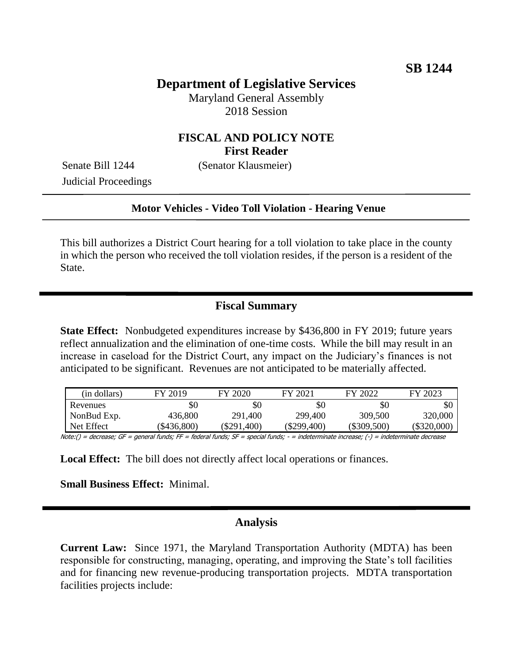# **Department of Legislative Services**

Maryland General Assembly 2018 Session

## **FISCAL AND POLICY NOTE First Reader**

Senate Bill 1244 (Senator Klausmeier)

Judicial Proceedings

### **Motor Vehicles - Video Toll Violation - Hearing Venue**

This bill authorizes a District Court hearing for a toll violation to take place in the county in which the person who received the toll violation resides, if the person is a resident of the State.

## **Fiscal Summary**

**State Effect:** Nonbudgeted expenditures increase by \$436,800 in FY 2019; future years reflect annualization and the elimination of one-time costs. While the bill may result in an increase in caseload for the District Court, any impact on the Judiciary's finances is not anticipated to be significant. Revenues are not anticipated to be materially affected.

| (in dollars) | FY 2019     | FY 2020       | FY 2021     | FY 2022       | FY 2023     |
|--------------|-------------|---------------|-------------|---------------|-------------|
| Revenues     | \$0         | \$0           | \$0         | \$0           |             |
| NonBud Exp.  | 436,800     | 291,400       | 299,400     | 309,500       | 320,000     |
| Net Effect   | (\$436,800) | $(\$291,400)$ | (\$299,400) | $(\$309,500)$ | (\$320,000) |

Note:() = decrease; GF = general funds; FF = federal funds; SF = special funds; - = indeterminate increase; (-) = indeterminate decrease

**Local Effect:** The bill does not directly affect local operations or finances.

**Small Business Effect:** Minimal.

### **Analysis**

**Current Law:** Since 1971, the Maryland Transportation Authority (MDTA) has been responsible for constructing, managing, operating, and improving the State's toll facilities and for financing new revenue-producing transportation projects. MDTA transportation facilities projects include: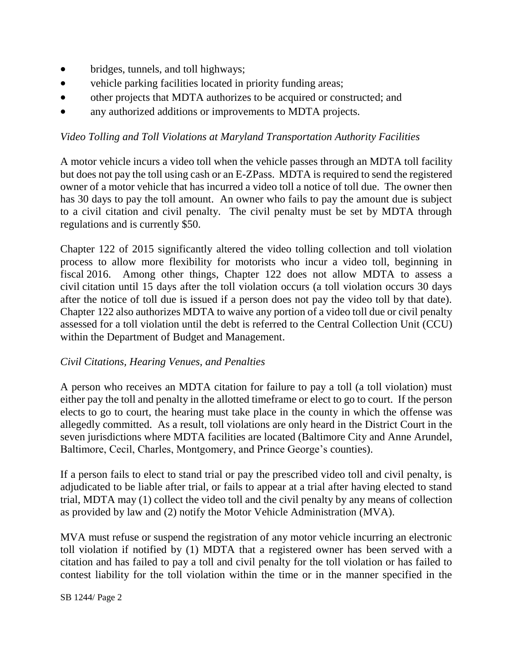- bridges, tunnels, and toll highways;
- vehicle parking facilities located in priority funding areas;
- other projects that MDTA authorizes to be acquired or constructed; and
- any authorized additions or improvements to MDTA projects.

## *Video Tolling and Toll Violations at Maryland Transportation Authority Facilities*

A motor vehicle incurs a video toll when the vehicle passes through an MDTA toll facility but does not pay the toll using cash or an E-ZPass. MDTA is required to send the registered owner of a motor vehicle that has incurred a video toll a notice of toll due. The owner then has 30 days to pay the toll amount. An owner who fails to pay the amount due is subject to a civil citation and civil penalty. The civil penalty must be set by MDTA through regulations and is currently \$50.

Chapter 122 of 2015 significantly altered the video tolling collection and toll violation process to allow more flexibility for motorists who incur a video toll, beginning in fiscal 2016. Among other things, Chapter 122 does not allow MDTA to assess a civil citation until 15 days after the toll violation occurs (a toll violation occurs 30 days after the notice of toll due is issued if a person does not pay the video toll by that date). Chapter 122 also authorizes MDTA to waive any portion of a video toll due or civil penalty assessed for a toll violation until the debt is referred to the Central Collection Unit (CCU) within the Department of Budget and Management.

## *Civil Citations, Hearing Venues, and Penalties*

A person who receives an MDTA citation for failure to pay a toll (a toll violation) must either pay the toll and penalty in the allotted timeframe or elect to go to court. If the person elects to go to court, the hearing must take place in the county in which the offense was allegedly committed. As a result, toll violations are only heard in the District Court in the seven jurisdictions where MDTA facilities are located (Baltimore City and Anne Arundel, Baltimore, Cecil, Charles, Montgomery, and Prince George's counties).

If a person fails to elect to stand trial or pay the prescribed video toll and civil penalty, is adjudicated to be liable after trial, or fails to appear at a trial after having elected to stand trial, MDTA may (1) collect the video toll and the civil penalty by any means of collection as provided by law and (2) notify the Motor Vehicle Administration (MVA).

MVA must refuse or suspend the registration of any motor vehicle incurring an electronic toll violation if notified by (1) MDTA that a registered owner has been served with a citation and has failed to pay a toll and civil penalty for the toll violation or has failed to contest liability for the toll violation within the time or in the manner specified in the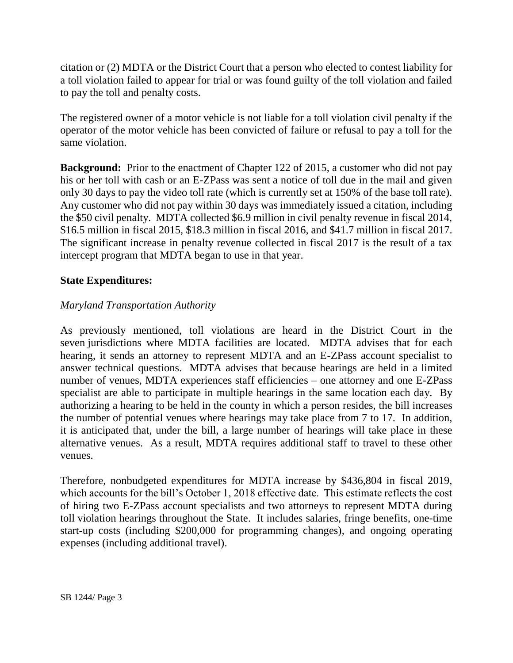citation or (2) MDTA or the District Court that a person who elected to contest liability for a toll violation failed to appear for trial or was found guilty of the toll violation and failed to pay the toll and penalty costs.

The registered owner of a motor vehicle is not liable for a toll violation civil penalty if the operator of the motor vehicle has been convicted of failure or refusal to pay a toll for the same violation.

**Background:** Prior to the enactment of Chapter 122 of 2015, a customer who did not pay his or her toll with cash or an E-ZPass was sent a notice of toll due in the mail and given only 30 days to pay the video toll rate (which is currently set at 150% of the base toll rate). Any customer who did not pay within 30 days was immediately issued a citation, including the \$50 civil penalty. MDTA collected \$6.9 million in civil penalty revenue in fiscal 2014, \$16.5 million in fiscal 2015, \$18.3 million in fiscal 2016, and \$41.7 million in fiscal 2017. The significant increase in penalty revenue collected in fiscal 2017 is the result of a tax intercept program that MDTA began to use in that year.

## **State Expenditures:**

## *Maryland Transportation Authority*

As previously mentioned, toll violations are heard in the District Court in the seven jurisdictions where MDTA facilities are located. MDTA advises that for each hearing, it sends an attorney to represent MDTA and an E-ZPass account specialist to answer technical questions. MDTA advises that because hearings are held in a limited number of venues, MDTA experiences staff efficiencies – one attorney and one E-ZPass specialist are able to participate in multiple hearings in the same location each day. By authorizing a hearing to be held in the county in which a person resides, the bill increases the number of potential venues where hearings may take place from 7 to 17. In addition, it is anticipated that, under the bill, a large number of hearings will take place in these alternative venues. As a result, MDTA requires additional staff to travel to these other venues.

Therefore, nonbudgeted expenditures for MDTA increase by \$436,804 in fiscal 2019, which accounts for the bill's October 1, 2018 effective date. This estimate reflects the cost of hiring two E-ZPass account specialists and two attorneys to represent MDTA during toll violation hearings throughout the State. It includes salaries, fringe benefits, one-time start-up costs (including \$200,000 for programming changes), and ongoing operating expenses (including additional travel).